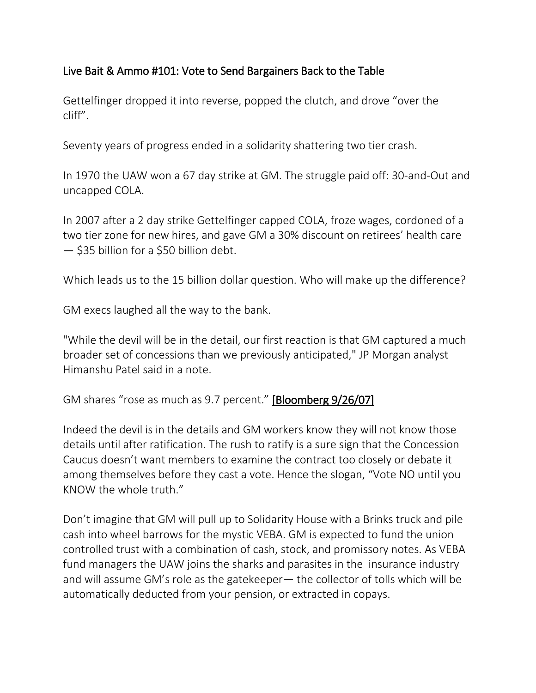## Live Bait & Ammo #101: Vote to Send Bargainers Back to the Table

Gettelfinger dropped it into reverse, popped the clutch, and drove "over the cliff".

Seventy years of progress ended in a solidarity shattering two tier crash.

In 1970 the UAW won a 67 day strike at GM. The struggle paid off: 30-and-Out and uncapped COLA.

In 2007 after a 2 day strike Gettelfinger capped COLA, froze wages, cordoned of a two tier zone for new hires, and gave GM a 30% discount on retirees' health care — \$35 billion for a \$50 billion debt.

Which leads us to the 15 billion dollar question. Who will make up the difference?

GM execs laughed all the way to the bank.

"While the devil will be in the detail, our first reaction is that GM captured a much broader set of concessions than we previously anticipated," JP Morgan analyst Himanshu Patel said in a note.

GM shares "rose as much as 9.7 percent.["](http://www.bloomberg.com/apps/news?pid=20601087&sid=ak72cjoUGFo8) [\[Bloomberg 9/26/07\]](http://www.bloomberg.com/apps/news?pid=20601087&sid=ak72cjoUGFo8)

Indeed the devil is in the details and GM workers know they will not know those details until after ratification. The rush to ratify is a sure sign that the Concession Caucus doesn't want members to examine the contract too closely or debate it among themselves before they cast a vote. Hence the slogan, "Vote NO until you KNOW the whole truth."

Don't imagine that GM will pull up to Solidarity House with a Brinks truck and pile cash into wheel barrows for the mystic VEBA. GM is expected to fund the union controlled trust with a combination of cash, stock, and promissory notes. As VEBA fund managers the UAW joins the sharks and parasites in the insurance industry and will assume GM's role as the gatekeeper— the collector of tolls which will be automatically deducted from your pension, or extracted in copays.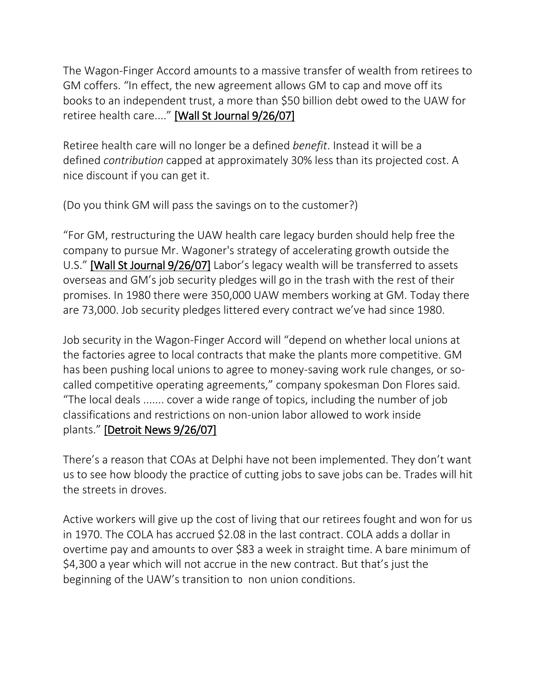The Wagon-Finger Accord amounts to a massive transfer of wealth from retirees to GM coffers. "In effect, the new agreement allows GM to cap and move off its books to an independent trust, a more than \$50 billion debt owed to the UAW for retiree health care...." [\[Wall St Journal 9/26/07\]](http://soldiersofsolidarity.org/files/relatednewsandreports07/GMPactStillFacesUAWMemberVote92607.html)

Retiree health care will no longer be a defined *benefit*. Instead it will be a defined *contribution* capped at approximately 30% less than its projected cost. A nice discount if you can get it.

(Do you think GM will pass the savings on to the customer?)

"For GM, restructuring the UAW health care legacy burden should help free the company to pursue Mr. Wagoner's strategy of accelerating growth outside the U.S." [\[Wall St Journal 9/26/07\]](http://soldiersofsolidarity.org/files/relatednewsandreports07/GMPactStillFacesUAWMemberVote92607.html) Labor's legacy wealth will be transferred to assets overseas and GM's job security pledges will go in the trash with the rest of their promises. In 1980 there were 350,000 UAW members working at GM. Today there are 73,000. Job security pledges littered every contract we've had since 1980.

Job security in the Wagon-Finger Accord will "depend on whether local unions at the factories agree to local contracts that make the plants more competitive. GM has been pushing local unions to agree to money-saving work rule changes, or socalled competitive operating agreements," company spokesman Don Flores said. "The local deals ....... cover a wide range of topics, including the number of job classifications and restrictions on non-union labor allowed to work inside plants." [\[Detroit News 9/26/07\]](http://www.detnews.com/apps/pbcs.dll/article?AID=/20070926/UPDATE/709260415)

There's a reason that COAs at Delphi have not been implemented. They don't want us to see how bloody the practice of cutting jobs to save jobs can be. Trades will hit the streets in droves.

Active workers will give up the cost of living that our retirees fought and won for us in 1970. The COLA has accrued \$2.08 in the last contract. COLA adds a dollar in overtime pay and amounts to over \$83 a week in straight time. A bare minimum of \$4,300 a year which will not accrue in the new contract. But that's just the beginning of the UAW's transition to non union conditions.